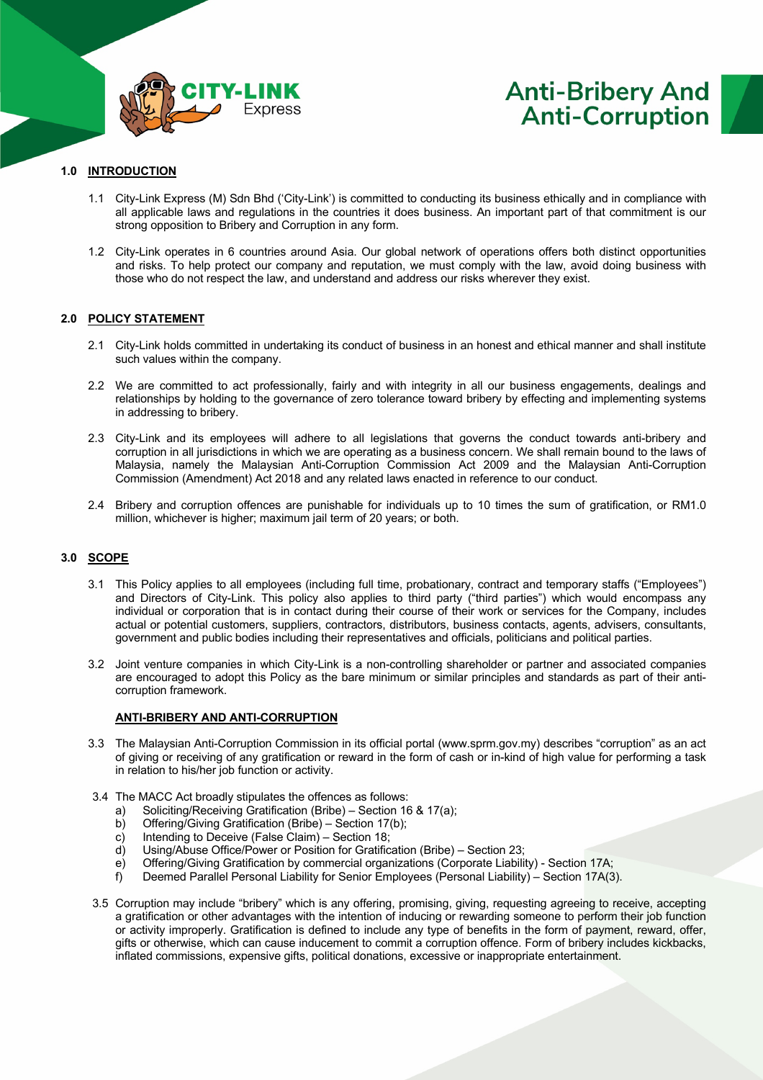

# **Anti-Bribery And Anti-Corruption**

### **1.0 INTRODUCTION**

- 1.1 City-Link Express (M) Sdn Bhd ('City-Link') is committed to conducting its business ethically and in compliance with all applicable laws and regulations in the countries it does business. An important part of that commitment is our strong opposition to Bribery and Corruption in any form.
- 1.2 City-Link operates in 6 countries around Asia. Our global network of operations offers both distinct opportunities and risks. To help protect our company and reputation, we must comply with the law, avoid doing business with those who do not respect the law, and understand and address our risks wherever they exist.

#### **2.0 POLICY STATEMENT**

- 2.1 City-Link holds committed in undertaking its conduct of business in an honest and ethical manner and shall institute such values within the company.
- 2.2 We are committed to act professionally, fairly and with integrity in all our business engagements, dealings and relationships by holding to the governance of zero tolerance toward bribery by effecting and implementing systems in addressing to bribery.
- 2.3 City-Link and its employees will adhere to all legislations that governs the conduct towards anti-bribery and corruption in all jurisdictions in which we are operating as a business concern. We shall remain bound to the laws of Malaysia, namely the Malaysian Anti-Corruption Commission Act 2009 and the Malaysian Anti-Corruption Commission (Amendment) Act 2018 and any related laws enacted in reference to our conduct.
- 2.4 Bribery and corruption offences are punishable for individuals up to 10 times the sum of gratification, or RM1.0 million, whichever is higher; maximum jail term of 20 years; or both.

#### **3.0 SCOPE**

- 3.1 This Policy applies to all employees (including full time, probationary, contract and temporary staffs ("Employees") and Directors of City-Link. This policy also applies to third party ("third parties") which would encompass any individual or corporation that is in contact during their course of their work or services for the Company, includes actual or potential customers, suppliers, contractors, distributors, business contacts, agents, advisers, consultants, government and public bodies including their representatives and officials, politicians and political parties.
- 3.2 Joint venture companies in which City-Link is a non-controlling shareholder or partner and associated companies are encouraged to adopt this Policy as the bare minimum or similar principles and standards as part of their anticorruption framework.

#### **ANTI-BRIBERY AND ANTI-CORRUPTION**

- 3.3 The Malaysian Anti-Corruption Commission in its official portal (www.sprm.gov.my) describes "corruption" as an act of giving or receiving of any gratification or reward in the form of cash or in-kind of high value for performing a task in relation to his/her job function or activity.
- 3.4 The MACC Act broadly stipulates the offences as follows:
	- a) Soliciting/Receiving Gratification (Bribe) Section 16 & 17(a);
	- b) Offering/Giving Gratification (Bribe) Section 17(b);
	- $\overrightarrow{c}$  Intending to Deceive (False Claim) Section 18;
	- d) Using/Abuse Office/Power or Position for Gratification (Bribe) Section 23;
	- e) Offering/Giving Gratification by commercial organizations (Corporate Liability) Section 17A;
	- f) Deemed Parallel Personal Liability for Senior Employees (Personal Liability) Section 17A(3).
- 3.5 Corruption may include "bribery" which is any offering, promising, giving, requesting agreeing to receive, accepting a gratification or other advantages with the intention of inducing or rewarding someone to perform their job function or activity improperly. Gratification is defined to include any type of benefits in the form of payment, reward, offer, gifts or otherwise, which can cause inducement to commit a corruption offence. Form of bribery includes kickbacks, inflated commissions, expensive gifts, political donations, excessive or inappropriate entertainment.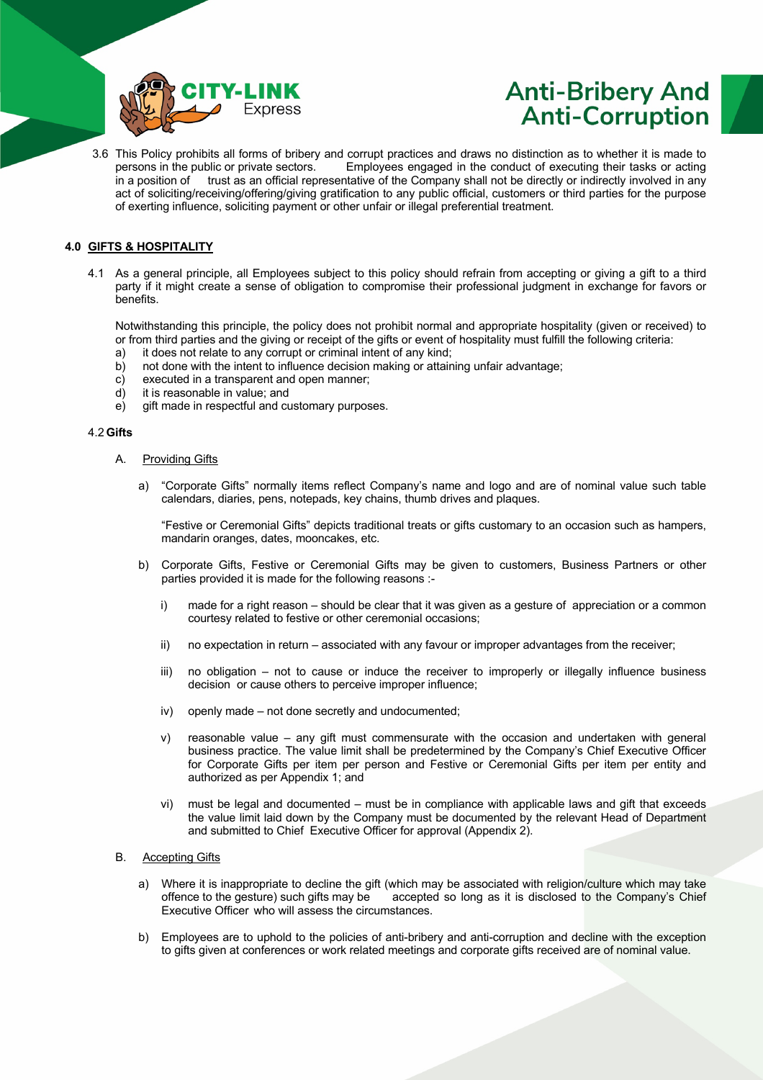

# **Anti-Bribery And Anti-Corruption**

3.6 This Policy prohibits all forms of bribery and corrupt practices and draws no distinction as to whether it is made to persons in the public or private sectors. Employees engaged in the conduct of executing their tasks Employees engaged in the conduct of executing their tasks or acting in a position of trust as an official representative of the Company shall not be directly or indirectly involved in any act of soliciting/receiving/offering/giving gratification to any public official, customers or third parties for the purpose of exerting influence, soliciting payment or other unfair or illegal preferential treatment.

## **4.0 GIFTS & HOSPITALITY**

4.1 As a general principle, all Employees subject to this policy should refrain from accepting or giving a gift to a third party if it might create a sense of obligation to compromise their professional judgment in exchange for favors or benefits.

Notwithstanding this principle, the policy does not prohibit normal and appropriate hospitality (given or received) to or from third parties and the giving or receipt of the gifts or event of hospitality must fulfill the following criteria:

- a) it does not relate to any corrupt or criminal intent of any kind;
- b) not done with the intent to influence decision making or attaining unfair advantage;
- c) executed in a transparent and open manner;
- d) it is reasonable in value; and
- e) gift made in respectful and customary purposes.

#### 4.2 **Gifts**

#### A. Providing Gifts

a) "Corporate Gifts" normally items reflect Company's name and logo and are of nominal value such table calendars, diaries, pens, notepads, key chains, thumb drives and plaques.

"Festive or Ceremonial Gifts" depicts traditional treats or gifts customary to an occasion such as hampers, mandarin oranges, dates, mooncakes, etc.

- b) Corporate Gifts, Festive or Ceremonial Gifts may be given to customers, Business Partners or other parties provided it is made for the following reasons :
	- i) made for a right reason should be clear that it was given as a gesture of appreciation or a common courtesy related to festive or other ceremonial occasions;
	- ii) no expectation in return associated with any favour or improper advantages from the receiver;
	- iii) no obligation not to cause or induce the receiver to improperly or illegally influence business decision or cause others to perceive improper influence;
	- iv) openly made not done secretly and undocumented;
	- v) reasonable value any gift must commensurate with the occasion and undertaken with general business practice. The value limit shall be predetermined by the Company's Chief Executive Officer for Corporate Gifts per item per person and Festive or Ceremonial Gifts per item per entity and authorized as per Appendix 1; and
	- vi) must be legal and documented must be in compliance with applicable laws and gift that exceeds the value limit laid down by the Company must be documented by the relevant Head of Department and submitted to Chief Executive Officer for approval (Appendix 2).

#### B. Accepting Gifts

- a) Where it is inappropriate to decline the gift (which may be associated with religion/culture which may take offence to the gesture) such gifts may be accepted so long as it is disclosed to the Company's Chief Executive Officer who will assess the circumstances.
- b) Employees are to uphold to the policies of anti-bribery and anti-corruption and decline with the exception to gifts given at conferences or work related meetings and corporate gifts received are of nominal value.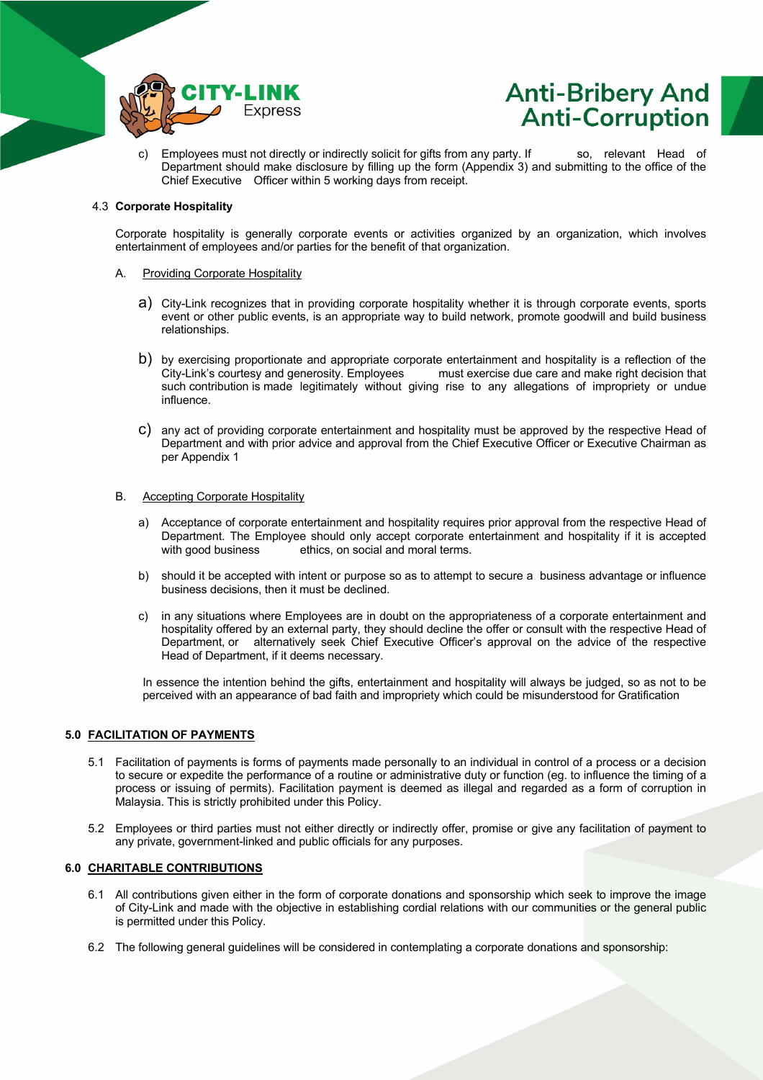



c) Employees must not directly or indirectly solicit for gifts from any party. If so, relevant Head of Department should make disclosure by filling up the form (Appendix 3) and submitting to the office of the Chief Executive Officer within 5 working days from receipt.

#### 4.3 **Corporate Hospitality**

Corporate hospitality is generally corporate events or activities organized by an organization, which involves entertainment of employees and/or parties for the benefit of that organization.

#### A. Providing Corporate Hospitality

- a) City-Link recognizes that in providing corporate hospitality whether it is through corporate events, sports event or other public events, is an appropriate way to build network, promote goodwill and build business relationships.
- b) by exercising proportionate and appropriate corporate entertainment and hospitality is a reflection of the City-Link's courtesy and generosity. Employees must exercise due care and make right decision that must exercise due care and make right decision that such contribution is made legitimately without giving rise to any allegations of impropriety or undue influence.
- c) any act of providing corporate entertainment and hospitality must be approved by the respective Head of Department and with prior advice and approval from the Chief Executive Officer or Executive Chairman as per Appendix 1

#### B. Accepting Corporate Hospitality

- a) Acceptance of corporate entertainment and hospitality requires prior approval from the respective Head of Department. The Employee should only accept corporate entertainment and hospitality if it is accepted with good business ethics, on social and moral terms.
- b) should it be accepted with intent or purpose so as to attempt to secure a business advantage or influence business decisions, then it must be declined.
- c) in any situations where Employees are in doubt on the appropriateness of a corporate entertainment and hospitality offered by an external party, they should decline the offer or consult with the respective Head of Department, or alternatively seek Chief Executive Officer's approval on the advice of the respective Head of Department, if it deems necessary.

In essence the intention behind the gifts, entertainment and hospitality will always be judged, so as not to be perceived with an appearance of bad faith and impropriety which could be misunderstood for Gratification

### **5.0 FACILITATION OF PAYMENTS**

- 5.1 Facilitation of payments is forms of payments made personally to an individual in control of a process or a decision to secure or expedite the performance of a routine or administrative duty or function (eg. to influence the timing of a process or issuing of permits). Facilitation payment is deemed as illegal and regarded as a form of corruption in Malaysia. This is strictly prohibited under this Policy.
- 5.2 Employees or third parties must not either directly or indirectly offer, promise or give any facilitation of payment to any private, government-linked and public officials for any purposes.

### **6.0 CHARITABLE CONTRIBUTIONS**

- 6.1 All contributions given either in the form of corporate donations and sponsorship which seek to improve the image of City-Link and made with the objective in establishing cordial relations with our communities or the general public is permitted under this Policy.
- 6.2 The following general guidelines will be considered in contemplating a corporate donations and sponsorship: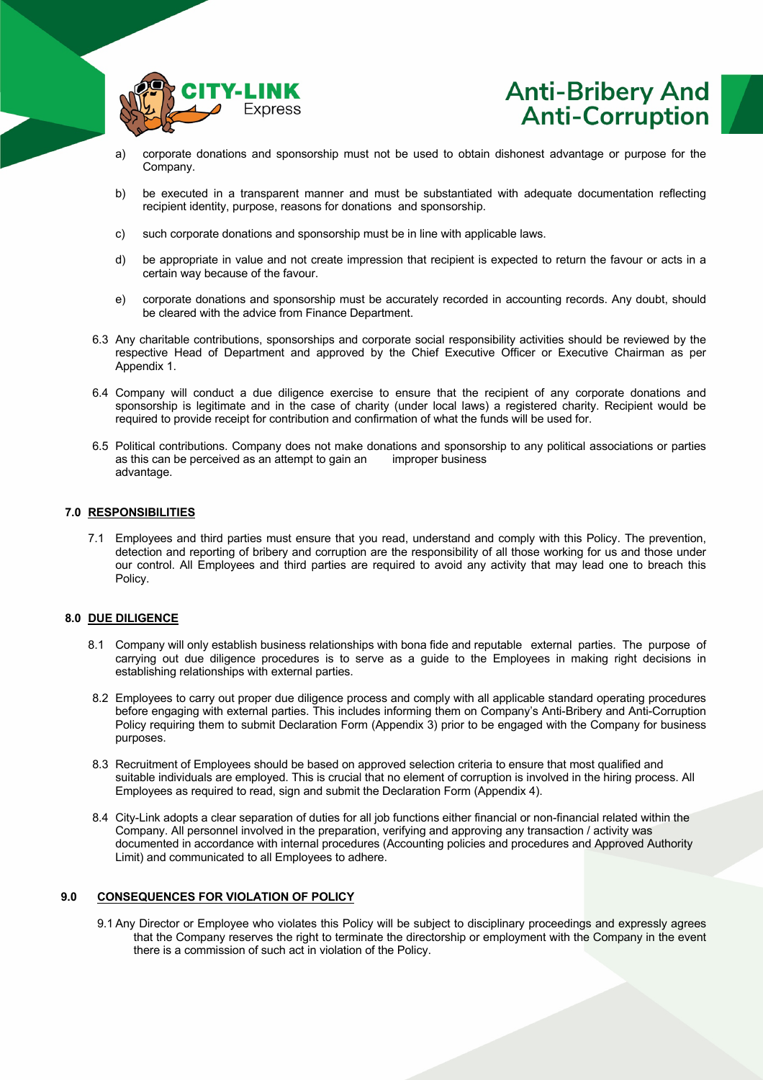



- a) corporate donations and sponsorship must not be used to obtain dishonest advantage or purpose for the Company.
- b) be executed in a transparent manner and must be substantiated with adequate documentation reflecting recipient identity, purpose, reasons for donations and sponsorship.
- c) such corporate donations and sponsorship must be in line with applicable laws.
- d) be appropriate in value and not create impression that recipient is expected to return the favour or acts in a certain way because of the favour.
- e) corporate donations and sponsorship must be accurately recorded in accounting records. Any doubt, should be cleared with the advice from Finance Department.
- 6.3 Any charitable contributions, sponsorships and corporate social responsibility activities should be reviewed by the respective Head of Department and approved by the Chief Executive Officer or Executive Chairman as per Appendix 1.
- 6.4 Company will conduct a due diligence exercise to ensure that the recipient of any corporate donations and sponsorship is legitimate and in the case of charity (under local laws) a registered charity. Recipient would be required to provide receipt for contribution and confirmation of what the funds will be used for.
- 6.5 Political contributions. Company does not make donations and sponsorship to any political associations or parties as this can be perceived as an attempt to gain an improper business advantage.

#### **7.0 RESPONSIBILITIES**

7.1 Employees and third parties must ensure that you read, understand and comply with this Policy. The prevention, detection and reporting of bribery and corruption are the responsibility of all those working for us and those under our control. All Employees and third parties are required to avoid any activity that may lead one to breach this Policy.

#### **8.0 DUE DILIGENCE**

- 8.1 Company will only establish business relationships with bona fide and reputable external parties. The purpose of carrying out due diligence procedures is to serve as a guide to the Employees in making right decisions in establishing relationships with external parties.
- 8.2 Employees to carry out proper due diligence process and comply with all applicable standard operating procedures before engaging with external parties. This includes informing them on Company's Anti-Bribery and Anti-Corruption Policy requiring them to submit Declaration Form (Appendix 3) prior to be engaged with the Company for business purposes.
- 8.3 Recruitment of Employees should be based on approved selection criteria to ensure that most qualified and suitable individuals are employed. This is crucial that no element of corruption is involved in the hiring process. All Employees as required to read, sign and submit the Declaration Form (Appendix 4).
- 8.4 City-Link adopts a clear separation of duties for all job functions either financial or non-financial related within the Company. All personnel involved in the preparation, verifying and approving any transaction / activity was documented in accordance with internal procedures (Accounting policies and procedures and Approved Authority Limit) and communicated to all Employees to adhere.

## **9.0 CONSEQUENCES FOR VIOLATION OF POLICY**

9.1 Any Director or Employee who violates this Policy will be subject to disciplinary proceedings and expressly agrees that the Company reserves the right to terminate the directorship or employment with the Company in the event there is a commission of such act in violation of the Policy.